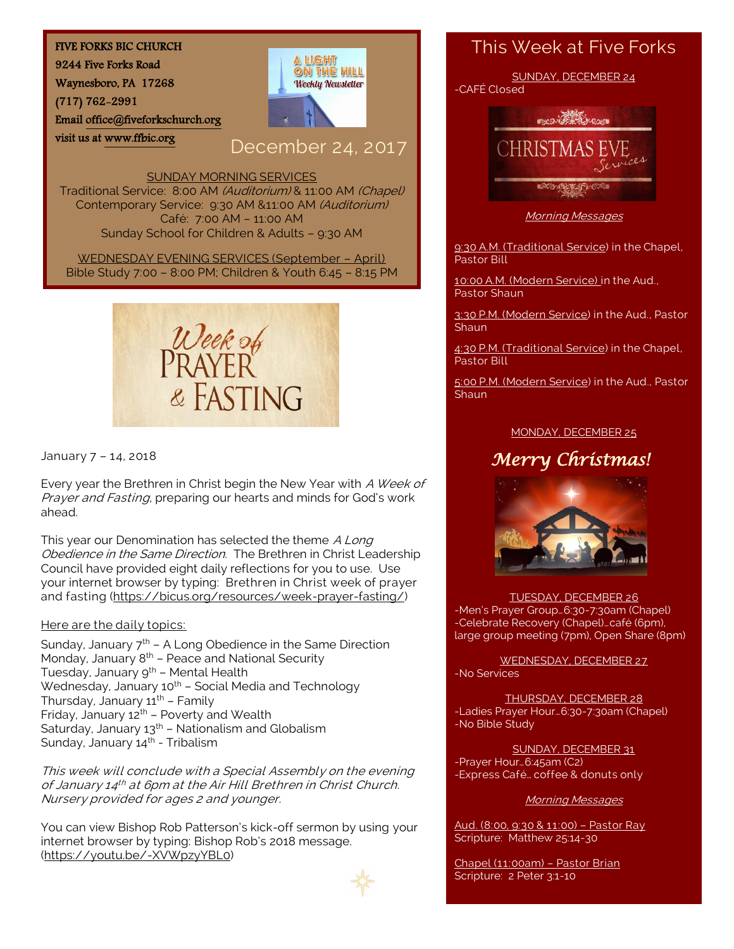#### FIVE FORKS BIC CHURCH

9244 Five Forks Road

Waynesboro, PA 17268

visit us at [www.ffbic.org](http://www.ffbic.org/) 

(717) 762-2991

Emai[l office@fiveforkschurch.org](mailto:office@fiveforkschurch.org) 

# A LIGHT ON THE HILL **Weekly Newsletter**

## December 24, 2017

#### SUNDAY MORNING SERVICES

Traditional Service: 8:00 AM (Auditorium) & 11:00 AM (Chapel) Contemporary Service: 9:30 AM &11:00 AM (Auditorium) Café: 7:00 AM – 11:00 AM Sunday School for Children & Adults – 9:30 AM

WEDNESDAY EVENING SERVICES (September – April) Bible Study 7:00 – 8:00 PM; Children & Youth 6:45 – 8:15 PM



January 7 – 14, 2018

Every year the Brethren in Christ begin the New Year with A Week of Prayer and Fasting, preparing our hearts and minds for God's work ahead.

This year our Denomination has selected the theme A Long Obedience in the Same Direction. The Brethren in Christ Leadership Council have provided eight daily reflections for you to use. Use your internet browser by typing: Brethren in Christ week of prayer and fasting [\(https://bicus.org/resources/week-prayer-fasting/\)](https://bicus.org/resources/week-prayer-fasting/)

#### Here are the daily topics:

Sunday, January  $7<sup>th</sup>$  – A Long Obedience in the Same Direction Monday, January 8th – Peace and National Security Tuesday, January 9<sup>th</sup> - Mental Health Wednesday, January  $10^{th}$  – Social Media and Technology Thursday, January  $11^{th}$  – Family Friday, January  $12^{th}$  – Poverty and Wealth Saturday, January  $13<sup>th</sup>$  – Nationalism and Globalism Sunday, January 14<sup>th</sup> - Tribalism

This week will conclude with a Special Assembly on the evening of January 14<sup>th</sup> at 6pm at the Air Hill Brethren in Christ Church. Nursery provided for ages 2 and younger.

You can view Bishop Rob Patterson's kick-off sermon by using your internet browser by typing: Bishop Rob's 2018 message. [\(https://youtu.be/-XVWpzyYBL0\)](https://youtu.be/-XVWpzyYBL0)



#### This Week at Five Forks



Morning Messages

9:30 A.M. (Traditional Service) in the Chapel, Pastor Bill

10:00 A.M. (Modern Service) in the Aud., Pastor Shaun

3:30 P.M. (Modern Service) in the Aud., Pastor **Shaun** 

4:30 P.M. (Traditional Service) in the Chapel, Pastor Bill

5:00 P.M. (Modern Service) in the Aud., Pastor **Shaun** 

#### MONDAY, DECEMBER 25

# *Merry Christmas!*



#### TUESDAY, DECEMBER 26

-Men's Prayer Group…6:30-7:30am (Chapel) -Celebrate Recovery (Chapel)…café (6pm), large group meeting (7pm), Open Share (8pm)

WEDNESDAY, DECEMBER 27 -No Services

THURSDAY, DECEMBER 28 -Ladies Prayer Hour…6:30-7:30am (Chapel) -No Bible Study

SUNDAY, DECEMBER 31 -Prayer Hour…6:45am (C2) -Express Café… coffee & donuts only

#### Morning Messages

Aud. (8:00, 9:30 & 11:00) – Pastor Ray Scripture: Matthew 25:14-30

Chapel (11:00am) – Pastor Brian Scripture: 2 Peter 3:1-10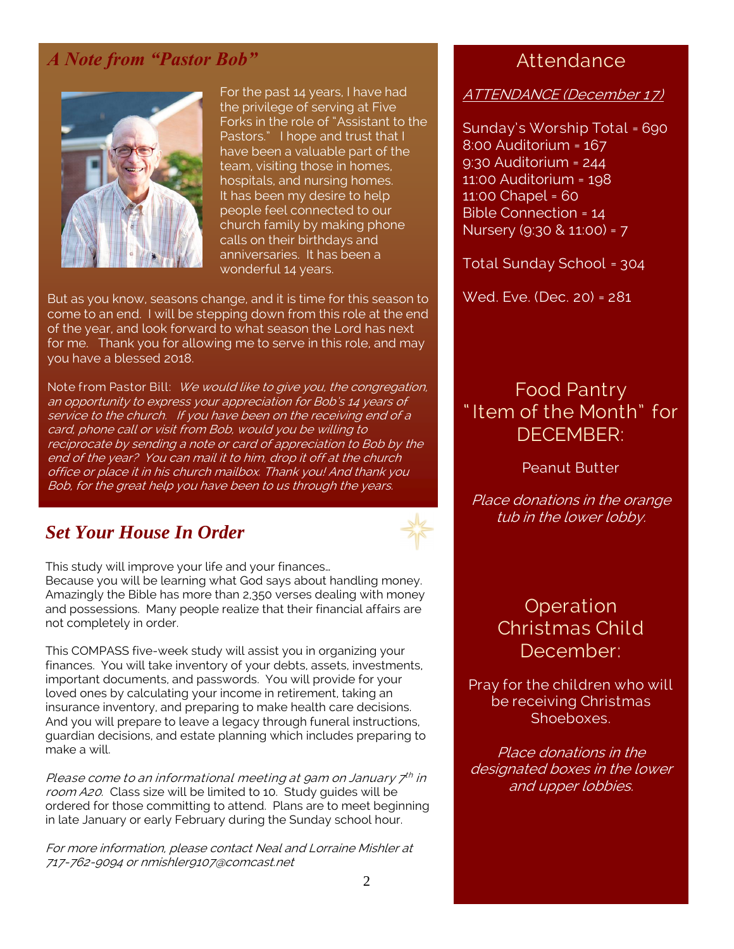### *A Note from "Pastor Bob"*



For the past 14 years, I have had the privilege of serving at Five Forks in the role of "Assistant to the Pastors." I hope and trust that I have been a valuable part of the team, visiting those in homes, hospitals, and nursing homes. It has been my desire to help people feel connected to our church family by making phone calls on their birthdays and anniversaries. It has been a wonderful 14 years.

But as you know, seasons change, and it is time for this season to come to an end. I will be stepping down from this role at the end of the year, and look forward to what season the Lord has next for me. Thank you for allowing me to serve in this role, and may you have a blessed 2018.

Note from Pastor Bill: We would like to give you, the congregation, an opportunity to express your appreciation for Bob's 14 years of service to the church. If you have been on the receiving end of a card, phone call or visit from Bob, would you be willing to reciprocate by sending a note or card of appreciation to Bob by the end of the year? You can mail it to him, drop it off at the church office or place it in his church mailbox. Thank you! And thank you Bob, for the great help you have been to us through the years.

#### *Set Your House In Order*



This study will improve your life and your finances… Because you will be learning what God says about handling money. Amazingly the Bible has more than 2,350 verses dealing with money and possessions. Many people realize that their financial affairs are not completely in order.

This COMPASS five-week study will assist you in organizing your finances. You will take inventory of your debts, assets, investments, important documents, and passwords. You will provide for your loved ones by calculating your income in retirement, taking an insurance inventory, and preparing to make health care decisions. And you will prepare to leave a legacy through funeral instructions, guardian decisions, and estate planning which includes preparing to make a will.

Please come to an informational meeting at gam on January 7th in room A20. Class size will be limited to 10. Study guides will be ordered for those committing to attend. Plans are to meet beginning in late January or early February during the Sunday school hour.

For more information, please contact Neal and Lorraine Mishler at 717-762-9094 or nmishler9107@comcast.net

### **Attendance**

#### ATTENDANCE (December 17)

Sunday's Worship Total = 690 8:00 Auditorium = 167 9:30 Auditorium = 244 11:00 Auditorium = 198 11:00 Chapel = 60 Bible Connection = 14 Nursery (9:30 & 11:00) = 7

Total Sunday School = 304

Wed. Eve. (Dec. 20) = 281

### Food Pantry " Item of the Month" for DECEMBER:

#### Peanut Butter

Place donations in the orange tub in the lower lobby.

> Operation Christmas Child December:

Pray for the children who will be receiving Christmas **Shoeboxes** 

Place donations in the designated boxes in the lower and upper lobbies.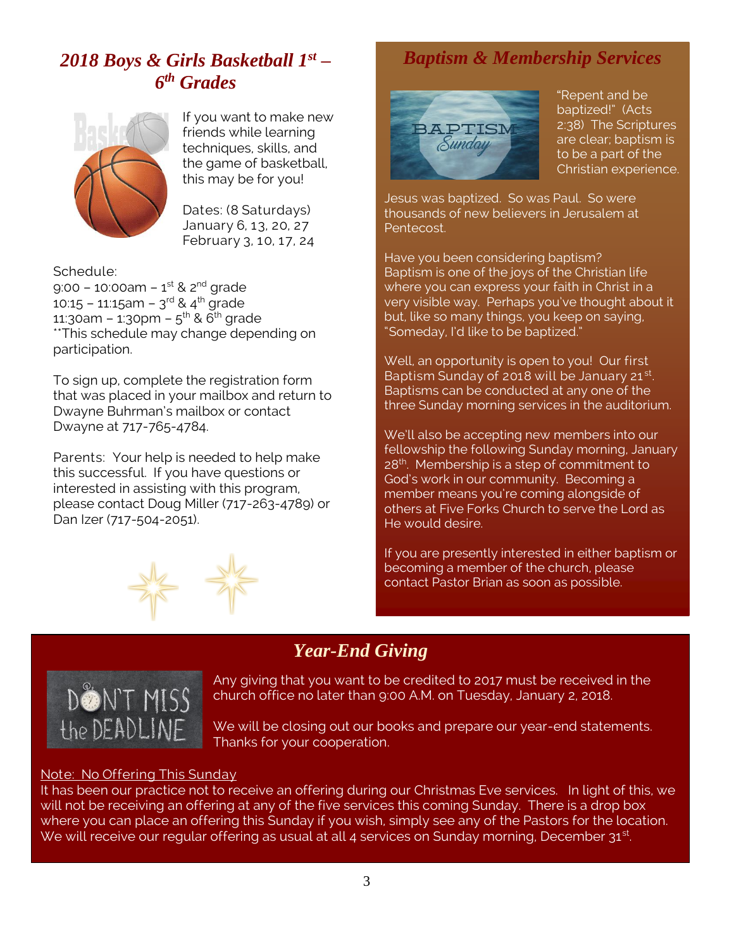# *2018 Boys & Girls Basketball 1st – 6 th Grades*



If you want to make new friends while learning techniques, skills, and the game of basketball, this may be for you!

Dates: (8 Saturdays) January 6, 13, 20, 27 February 3, 10, 17, 24

Schedule: 9:00 – 10:00am – 1<sup>st</sup> & 2<sup>nd</sup> grade 10:15 – 11:15am – 3<sup>rd</sup> & 4<sup>th</sup> grade 11:30am – 1:30pm – 5<sup>th</sup> & 6<sup>th</sup> grade \*\*This schedule may change depending on participation.

To sign up, complete the registration form that was placed in your mailbox and return to Dwayne Buhrman's mailbox or contact Dwayne at 717-765-4784.

Parents: Your help is needed to help make this successful. If you have questions or interested in assisting with this program, please contact Doug Miller (717-263-4789) or Dan Izer (717-504-2051).



# *Baptism & Membership Services*



"Repent and be baptized!" (Acts 2:38) The Scriptures are clear; baptism is to be a part of the Christian experience.

Jesus was baptized. So was Paul. So were thousands of new believers in Jerusalem at Pentecost.

Have you been considering baptism? Baptism is one of the joys of the Christian life where you can express your faith in Christ in a very visible way. Perhaps you've thought about it but, like so many things, you keep on saying, "Someday, I'd like to be baptized."

Well, an opportunity is open to you! Our first Baptism Sunday of 2018 will be January 21st. Baptisms can be conducted at any one of the three Sunday morning services in the auditorium.

We'll also be accepting new members into our fellowship the following Sunday morning, January 28<sup>th</sup>. Membership is a step of commitment to God's work in our community. Becoming a member means you're coming alongside of others at Five Forks Church to serve the Lord as He would desire.

If you are presently interested in either baptism or becoming a member of the church, please contact Pastor Brian as soon as possible.

# *Year-End Giving*



Any giving that you want to be credited to 2017 must be received in the church office no later than 9:00 A.M. on Tuesday, January 2, 2018.

We will be closing out our books and prepare our year-end statements. Thanks for your cooperation.

#### Note: No Offering This Sunday

It has been our practice not to receive an offering during our Christmas Eve services. In light of this, we will not be receiving an offering at any of the five services this coming Sunday. There is a drop box where you can place an offering this Sunday if you wish, simply see any of the Pastors for the location. We will receive our regular offering as usual at all 4 services on Sunday morning, December  $31^{st}$ .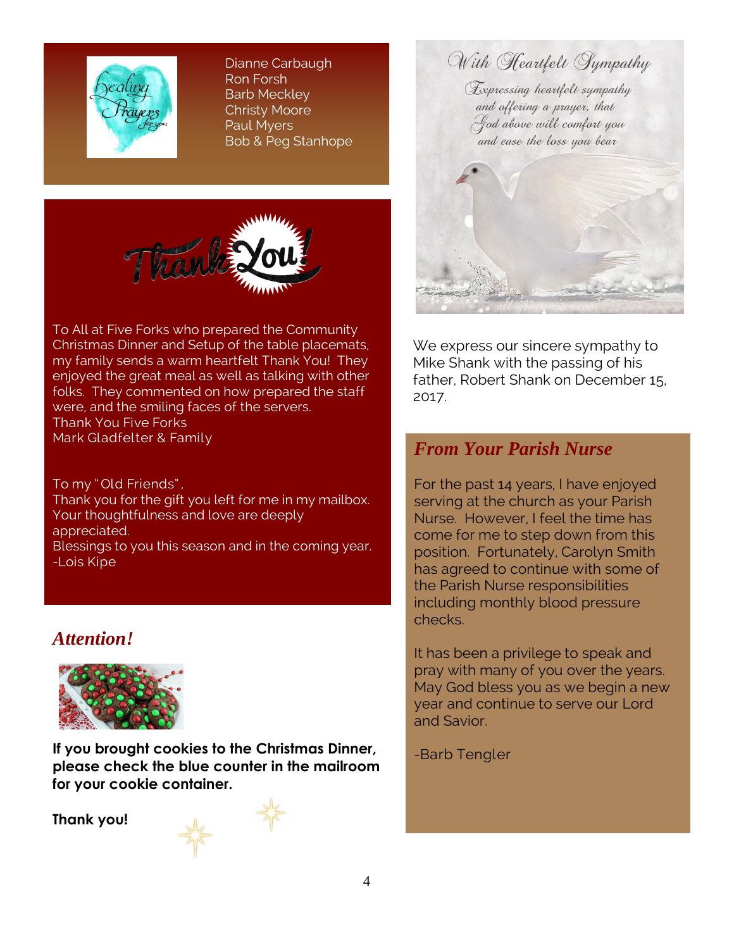

Dianne Carbaugh Ron Forsh Barb Meckley Christy Moore Paul Myers Bob & Peg Stanhope



To All at Five Forks who prepared the Community Christmas Dinner and Setup of the table placemats, my family sends a warm heartfelt Thank You! They enjoyed the great meal as well as talking with other folks. They commented on how prepared the staff were, and the smiling faces of the servers. Thank You Five Forks Mark Gladfelter & Family

To my " Old Friends" , Thank you for the gift you left for me in my mailbox. Your thoughtfulness and love are deeply appreciated. Blessings to you this season and in the coming year. -Lois Kipe

#### *Attention!*



**If you brought cookies to the Christmas Dinner, please check the blue counter in the mailroom for your cookie container.**

**Thank you!**

With Heartfelt Sympathy Expressing heartfelt sympathy and offering a prayer, that God above will comfort you and ease the loss you bear

We express our sincere sympathy to Mike Shank with the passing of his father, Robert Shank on December 15, 2017.

### *From Your Parish Nurse*

For the past 14 years, I have enjoyed serving at the church as your Parish Nurse. However, I feel the time has come for me to step down from this position. Fortunately, Carolyn Smith has agreed to continue with some of the Parish Nurse responsibilities including monthly blood pressure checks.

It has been a privilege to speak and pray with many of you over the years. May God bless you as we begin a new year and continue to serve our Lord and Savior.

-Barb Tengler